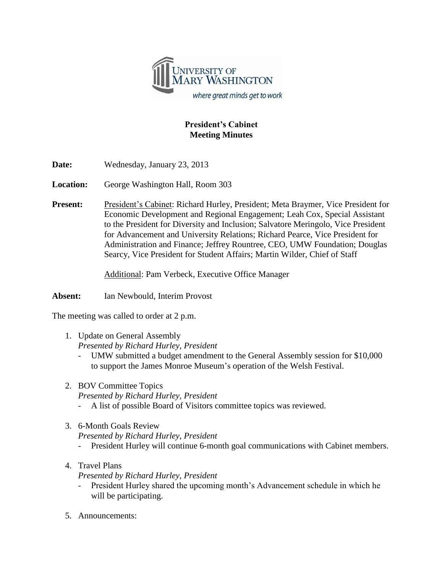

## **President's Cabinet Meeting Minutes**

**Date:** Wednesday, January 23, 2013

**Location:** George Washington Hall, Room 303

**Present:** President's Cabinet: Richard Hurley, President; Meta Braymer, Vice President for Economic Development and Regional Engagement; Leah Cox, Special Assistant to the President for Diversity and Inclusion; Salvatore Meringolo, Vice President for Advancement and University Relations; Richard Pearce, Vice President for Administration and Finance; Jeffrey Rountree, CEO, UMW Foundation; Douglas Searcy, Vice President for Student Affairs; Martin Wilder, Chief of Staff

Additional: Pam Verbeck, Executive Office Manager

**Absent:** Ian Newbould, Interim Provost

The meeting was called to order at 2 p.m.

1. Update on General Assembly

*Presented by Richard Hurley, President*

- UMW submitted a budget amendment to the General Assembly session for \$10,000 to support the James Monroe Museum's operation of the Welsh Festival.
- 2. BOV Committee Topics *Presented by Richard Hurley, President* - A list of possible Board of Visitors committee topics was reviewed.
- 3. 6-Month Goals Review *Presented by Richard Hurley, President*
	- President Hurley will continue 6-month goal communications with Cabinet members.
- 4. Travel Plans

*Presented by Richard Hurley, President*

- President Hurley shared the upcoming month's Advancement schedule in which he will be participating.
- 5. Announcements: